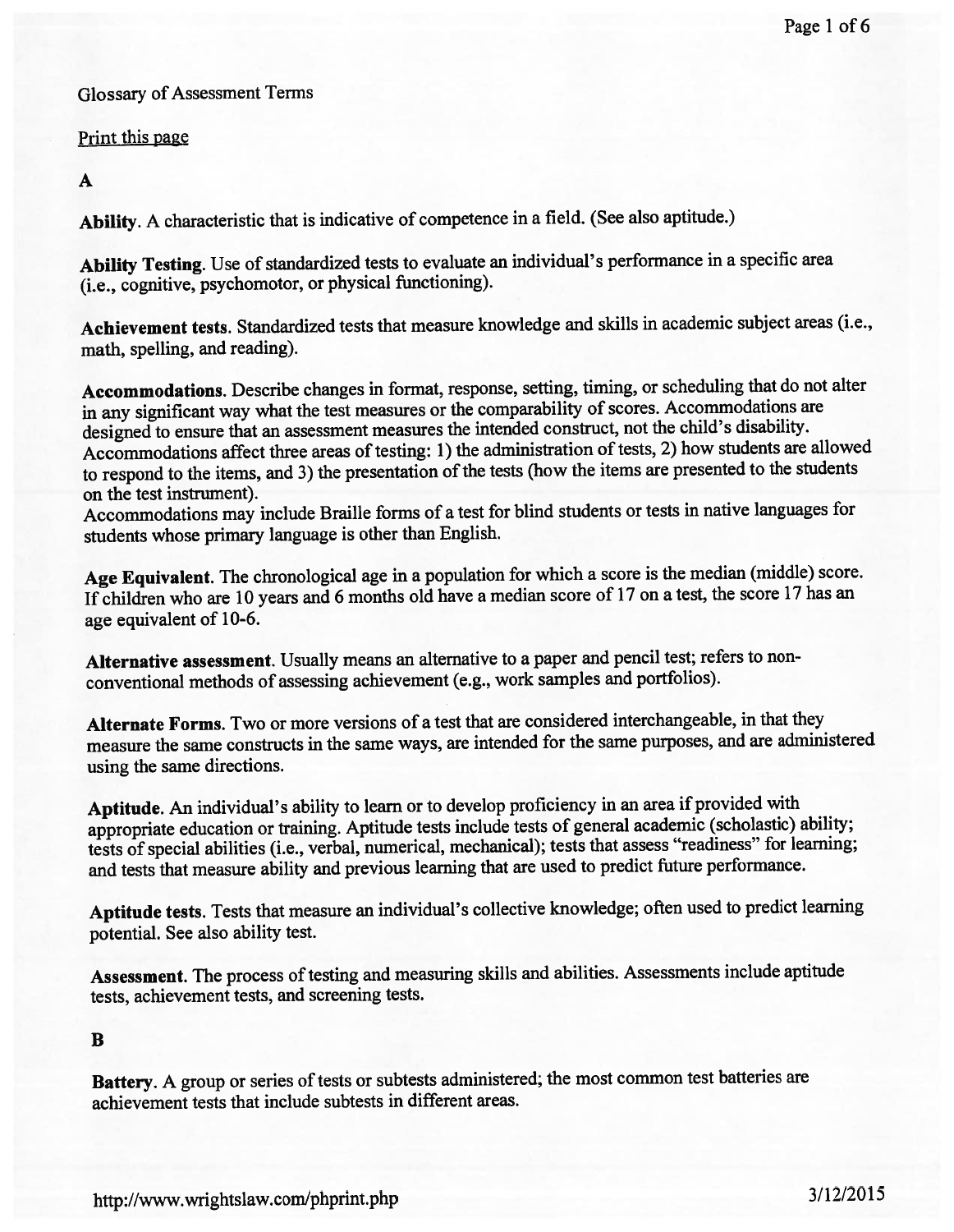# Glossary of Assessment Terms

### Print this page

A

Ability. A characteristic that is indicative of competence in a field. (See also aptitude.)

Ability Testing. Use of standardized tests to evaluate an individual's performance in a specific area (i.e., cognitive, psychomotor, or physical functioning).

Achievement tests. Standardized tests that measure knowledge and skills in academic subject areas (i.e., math, spelling, and reading).

Accommodations. Describe changes in format, response, setting, timing, or scheduling that do not alter in any significant way what the test measures or the comparability of scores. Accommodations are designed to ensure that an assessment measures the intended construct, not the child's disability. Accommodations affect three areas of testing: 1) the administration of tests, 2) how students are allowed to respond to the items, and 3) the presentation of the tests (how the items are presented to the students

on the test instrument).<br>Accommodations may include Braille forms of a test for blind students or tests in native languages for  $\frac{1}{2}$  include the students may include  $\frac{1}{2}$  the forms of a tests for then English

Age Equivalent. The chronological age in a population for which a score is the median (middle) score. If children who are 10 years and 6 months old have a median score of 17 on a test, the score 17 has an age equivalent of 10-6.

Alternative assessment. Usually means an alternative to a paper and pencil test; refers to nonconventional methods of assessing achievement (e.g., work samples and portfolios).

languages for students whose primary language is other than English.

Alternate Forms. Two or more versions of a test that are considered interchangeable, in that they measure the same constructs in the same ways, are intended for the same purposes, and are administered using the same directions.

Aptitude. An individual's ability to learn or to develop proficiency in an area if provided with appropriate education or training. Aptitude tests include tests of general academic (scholastic) ability; tests of special abilities (i.e., verbal, numerical, mechanical); tests that assess "readiness" for learning; and tests that measure ability and previous learning that are used to predict future performance.

Aptitude tests. Tests that measure an individual's collective knowledge; often used to predict learning potential. See also ability test. learning potential. See also ability test.

Assessment. The process of testing and measuring skills and abilities. Assessments include aptitude tests, achievement tests, and screening tests.

## B

Battery. A group or series of tests or subtests administered; the most common test batteries are achievement tests that include subtests in different areas.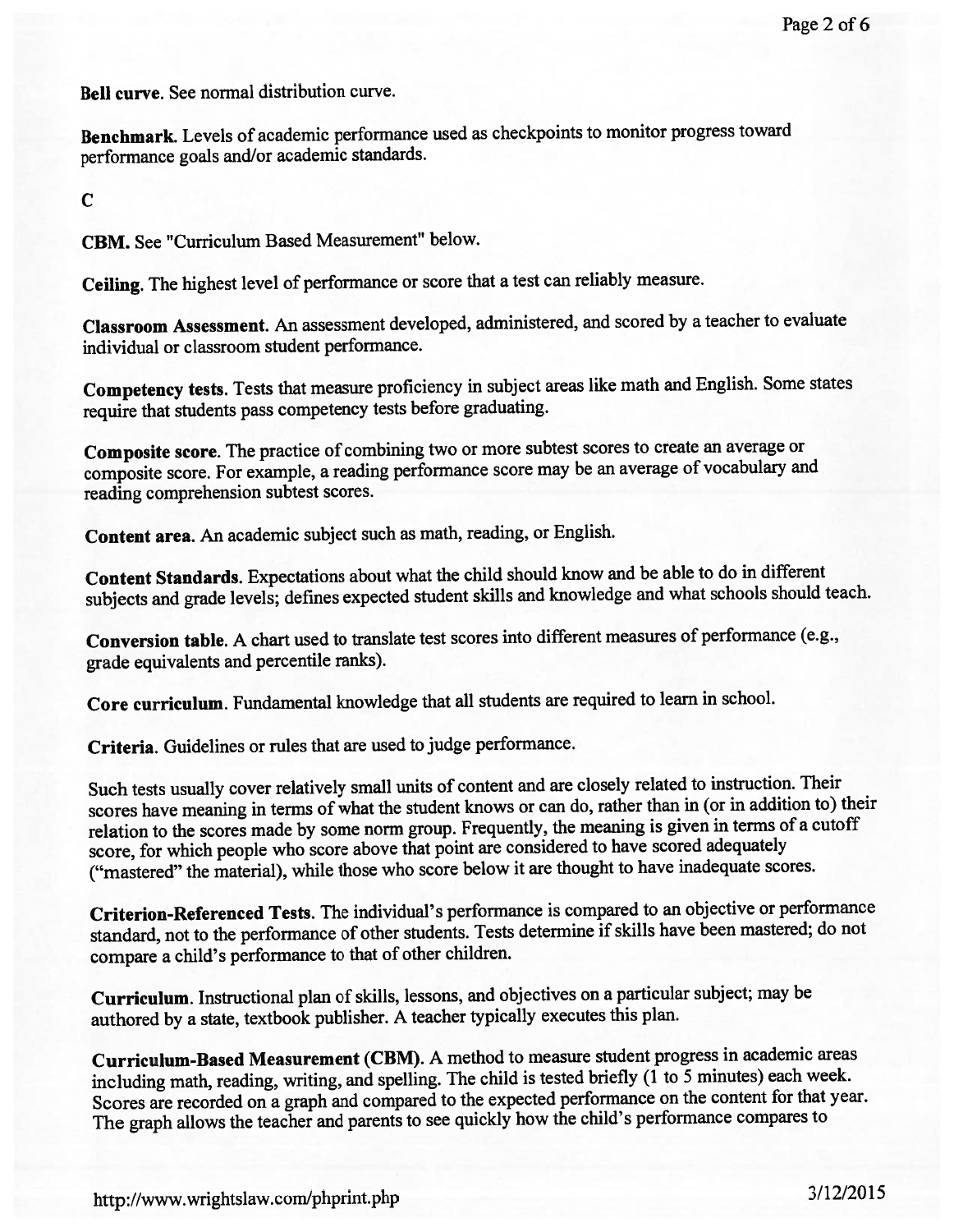Bell curve. See normal distribution curve.

Benchmark. Levels of academic performance used as checkpoints to monitor progress toward performance goals and/or academic standards.

C

CBM. See "Curriculum Based Measurement" below.

Ceiling. The highest level of performance or score that a test can reliably measure.

Classroom Assessment. An assessment developed, administered, and scored by a teacher to evaluate individual or classroom student performance.

Competency tests. Tests that measure proficiency in subject areas like math and English. Some states require that students pass competency tests before graduating.

Composite score. The practice of combining two or more subtest scores to create an average or composite score. For example, a reading performance score may be an average of vocabulary and reading comprehension subtest scores.

Content area. An academic subject such as math, reading, or English.

Content Standards. Expectations about what the child should know and be able to do in different subjects and grade levels; defines expected student skills and knowledge and what schools should teach.

Conversion table. A chart used to translate test scores into different measures of performance (e.g., grade equivalents and percentile ranks).

Core curriculum. Fundamental knowledge that all students are required to learn in school.

Criteria. Guidelines or rules that are used to judge performance.

Such tests usually cover relatively small units of content and are closely related to instruction. Their scores have meaning in terms of what the student knows or can do, rather than in (or in addition to) their relation to the scores made by some norm group. Frequently, the meaning is given in terms of a cutoff score, for which people who score above that point are considered to have scored adequately ("mastered" the material), while those who score below it are thought to have inadequate scores.

who score below it are thought to have inadequate scores. Criterion-Referenced Tests. The individual s performance is compared to an objective or performance standard, not to the performance of other students. Tests determine if skills have been mastered; do not compare a child's performance to that of other children.

Curriculum. Instructional plan of skills, lessons, and objectives on a particular subject; authored by a state, textbook publisher. A teacher typically executes this plan.

Curriculum-Based Measurement (CBM). A method to measure student progress in academic areas including math, reading, writing, and spelling. The child is tested briefly (1 to 5 minutes) each week. Scores are recorded on a graph and compared to the expected performance on the content for that year. The graph allows the teacher and parents to see quickly how the child's performance compares to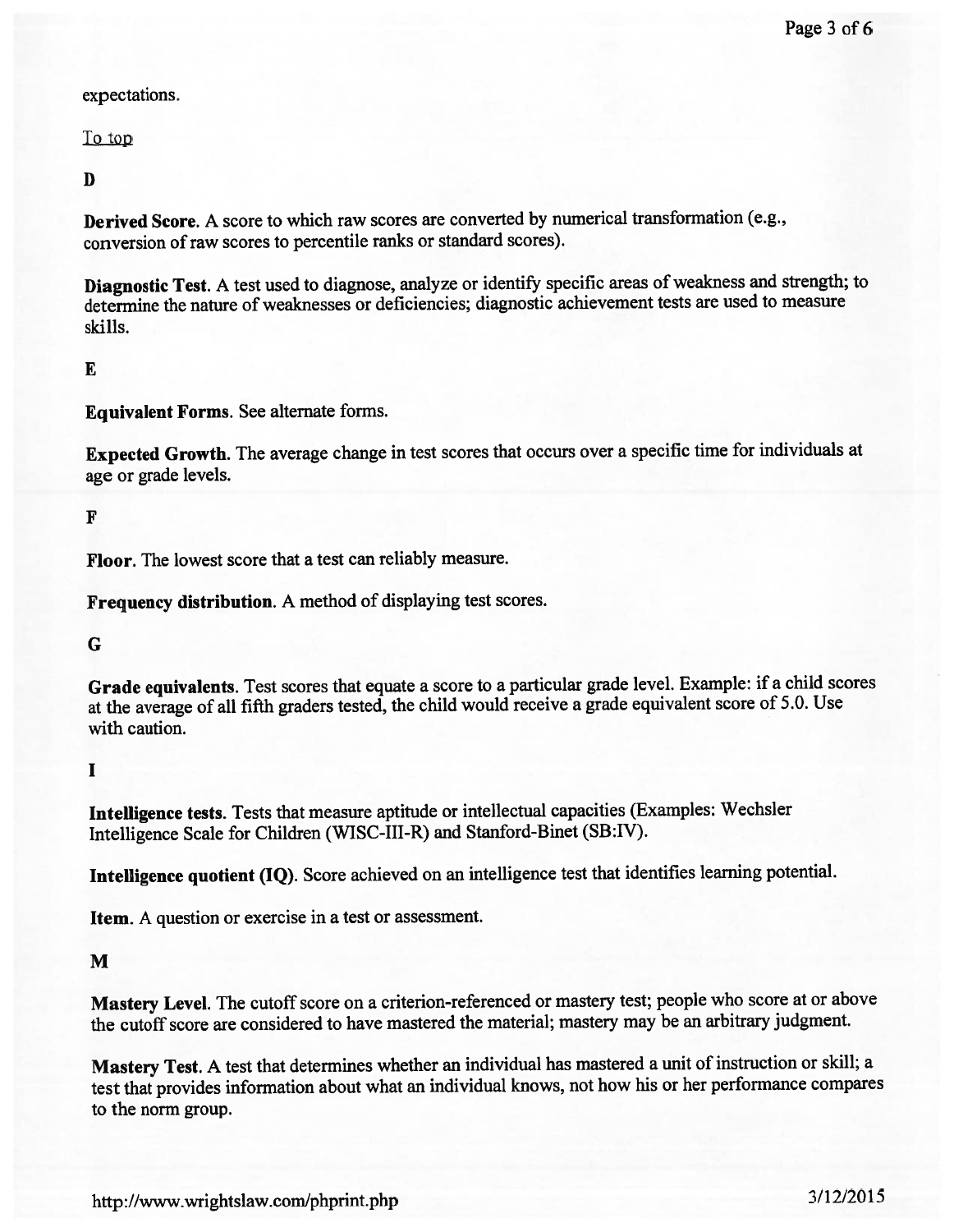#### expectations.

To top

D

Derived Score. A score to which raw scores are converted by numerical transformation (e.g., conversion of raw scores to percentile ranks or standard scores).

Diagnostic Test. A test used to diagnose, analyze or identify specific areas of weakness and strength; to determine the nature of weaknesses or deficiencies; diagnostic achievement tests are used to measure skills.

E

Equivalent Forms. See alternate forms.

Expected Growth. The average change in test scores that occurs over a specific time for individuals at age or grade levels.

### F

Floor. The lowest score that a test can reliably measure.

Frequency distribution. A method of displaying test scores.

### G

Grade equivalents. Test scores that equate a score to a particular grade level. Example: if a child scores at the average of all fifth graders tested, the child would receive a grade equivalent score of 5.0. Use with caution.

## $\mathbf I$

Intelligence tests. Tests that measure aptitude or intellectual capacities (Examples: Wechsler Intelligence Scale for Children (WISC-III-R) and Stanford-Binet (SB:IV).

Intelligence quotient (IQ). Score achieved on an intelligence test that identifies learning potential.

Item. A question or exercise in a test or assessment.

## M

Mastery Level. The cutoff score on a criterion-referenced or mastery test; people who score at or above the cutoff score are considered to have mastered the material; mastery may be an arbitrary judgment.

Mastery Test. A test that determines whether an individual has mastered a unit of instruction or skill; a test that provides information about what an individual knows, not how his or her performance compares to the norm group. group.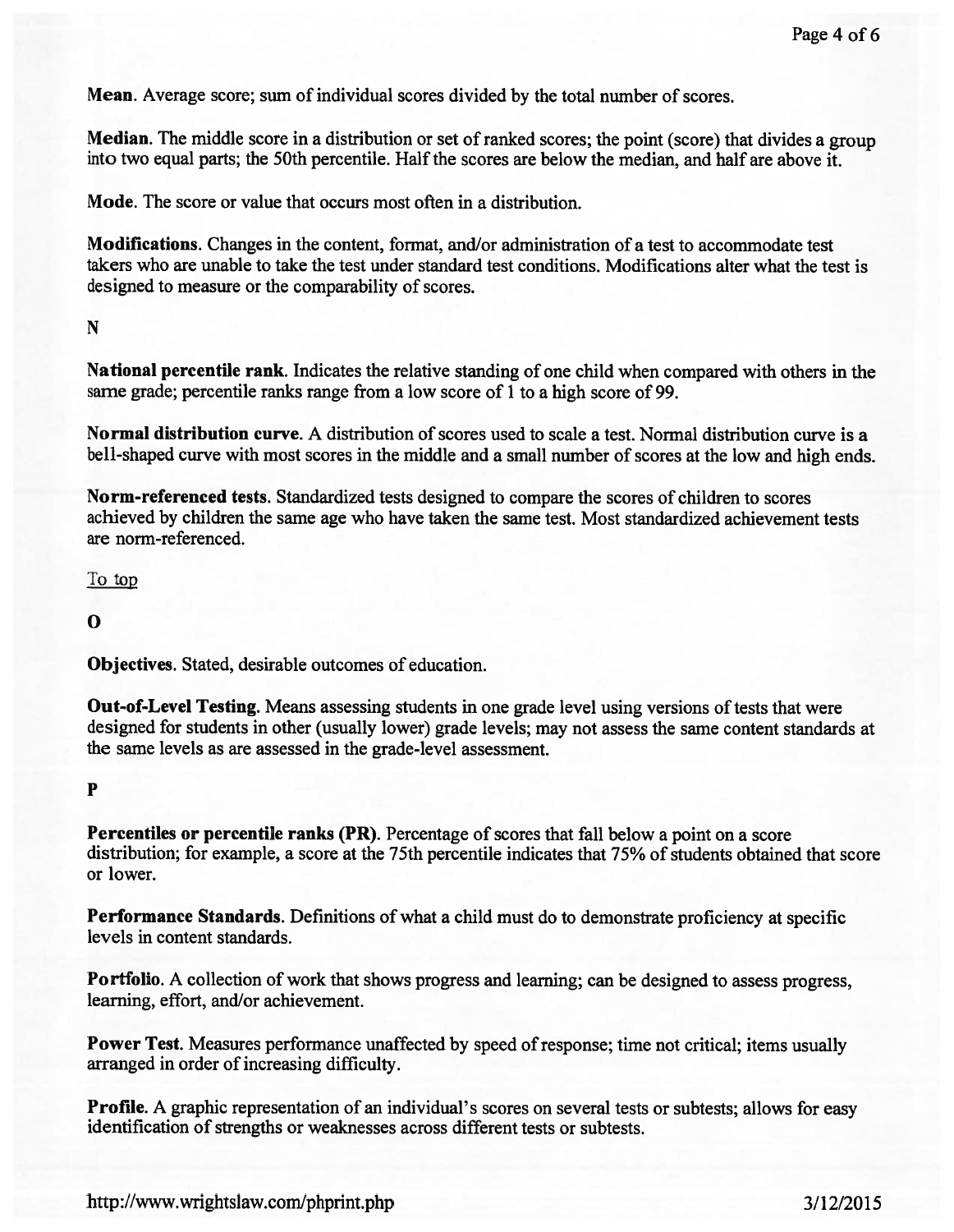Mean. Average score; sum of individual scores divided by the total number of scores.

Median. The middle score in a distribution or set of ranked scores; the point (score) that divides a group into two equal parts; the 50th percentile. Half the scores are below the median, and half are above it.

Mode. The score or value that occurs most often in a distribution.

Modifications. Changes in the content, format, and/or administration of a test to accommodate test takers who are unable to take the test under standard test conditions. Modifications alter what the test is designed to measure or the comparability of scores. measure to measure or the comparability

### N

National percentile rank. Indicates the relative standing of one child when compared with others in the same grade; percentile ranks range from a low score of 1 to a high score of 99.

Normal distribution curve. A distribution of scores used to scale a test. Normal distribution curve is a bell-shaped curve with most scores in the middle and a small number of scores at the low and high ends.

Norm-referenced tests. Standardized tests designed to compare the scores of children to scores achieved by children the same age who have taken the same test. Most standardized achievement tests are norm-referenced.

To top

### O

Objectives. Stated, desirable outcomes of education.

Out-of-Level Testing. Means assessing students in one grade level using versions of tests that were designed for students in other (usually lower) grade levels; may not assess the same content standards at the same levels as are assessed in the grade-level assessment.

### P

Percentiles or percentile ranks (PR). Percentage of scores that fall below a point on a score distribution; for example, a score at the 75th percentile indicates that 75% of students obtained that score or lower.

Performance Standards. Definitions of what a child must do to demonstrate proficiency at specific levels in content standards.

Portfolio. A collection of work that shows progress and learning; can be designed to assess progress, learning, effort, and/or achievement.

Power Test. Measures performance unaffected by speed of response; time not critical; items usually arranged in order of increasing difficulty.

Profile. A graphic representation of an individual's scores on several tests or subtests; allows for easy identification of strengths or weaknesses across different tests or subtests. for easy identification of strengths or weaknesses across different tests or subtests.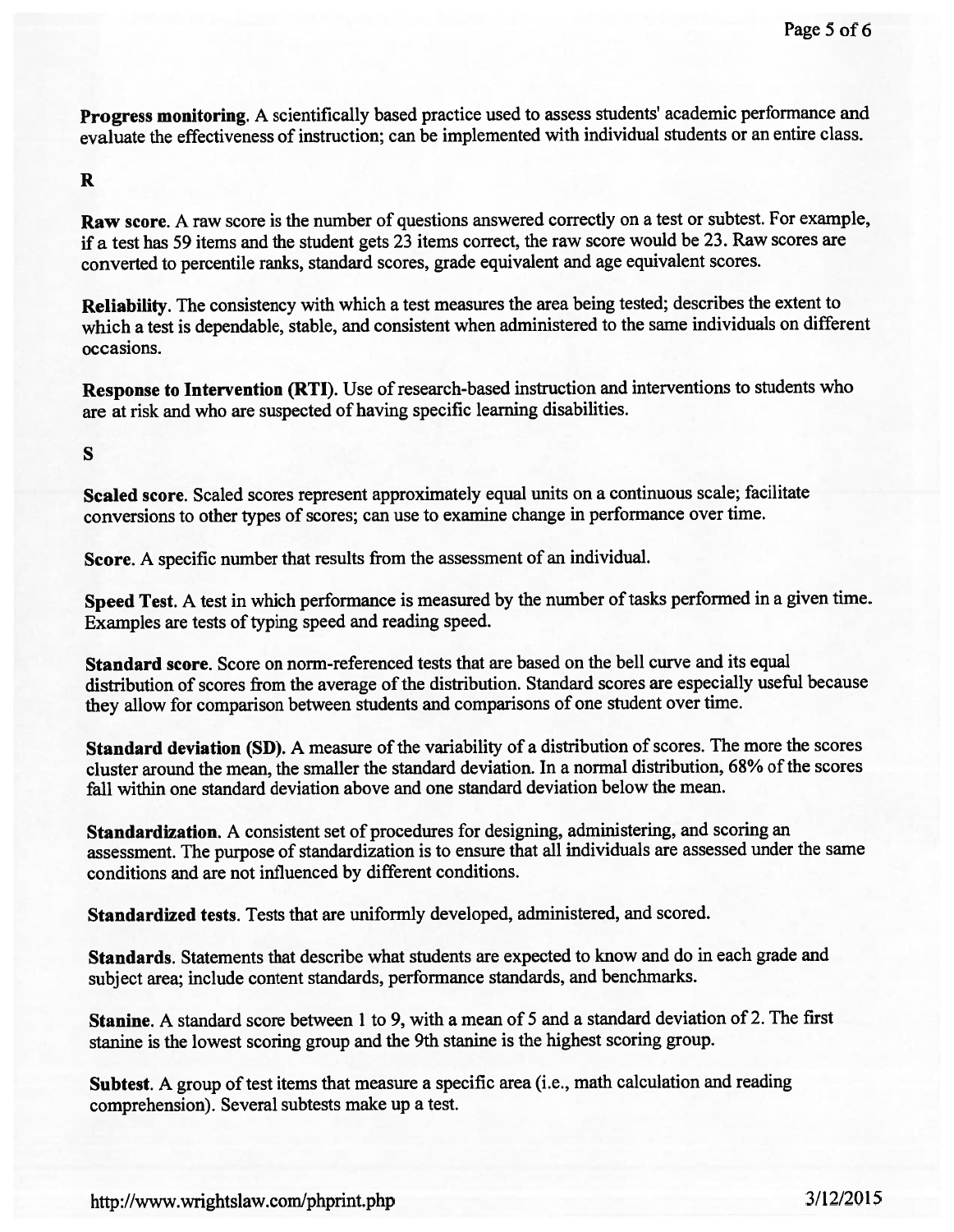Progress monitoring. A scientifically based practice used to assess students' academic performance and evaluate the effectiveness of instruction; can be implemented with individual students or an entire class.

### R

Raw score. A raw score is the number of questions answered correctly on a test or subtest. For example, if a test has 59 items and the student gets 23 items correct, the raw score would be 23. Raw scores are converted to percentile ranks, standard scores, grade equivalent and age equivalent scores.

Reliability. The consistency with which a test measures the area being tested; describes the extent to which a test is dependable, stable, and consistent when administered to the same individuals on different occasions.

**Response to Intervention (RTI)**. Use of research-based instruction and interventions to students who are at risk and who are suspected of having specific learning disabilities. students who are at risk and who are suspected of having specific learning disabilities.

### S

Scaled score. Scaled scores represent approximately equal units on a continuous scale; facilitate conversions to other types of scores; can use to examine change in performance over time.

Score. A specific number that results from the assessment of an individual.

Speed Test. A test in which performance is measured by the number of tasks performed in a given time. Examples are tests of typing speed and reading speed.

Standard score. Score on norm-referenced tests that are based on the bell curve and its equal distribution of scores from the average of the distribution. Standard scores are especially useful because they allow for comparison between students and comparisons of one student over time.

Standard deviation (SD). A measure of the variability of a distribution of scores. The more the scores cluster around the mean, the smaller the standard deviation. In a normal distribution, 68% of the scores fall within one standard deviation above and one standard deviation below the mean.

Standardization. A consistent set of procedures for designing, administering, and scoring an assessment. The purpose of standardization is to ensure that all individuals are assessed under the same conditions and are not influenced by different conditions.

Standardized tests. Tests that are uniformly developed, administered, and scored.

Standards. Statements that describe what students are expected to know and do in each grade and subject area; include content standards, performance standards, and benchmarks.

Stanine. A standard score between 1 to 9, with a mean of 5 and a standard deviation of 2. The first stanine is the lowest scoring group and the 9th stanine is the highest scoring group.

Subtest. A group of test items that measure a specific area (i.e., math calculation and reading comprehension). Several subtests make up a test.